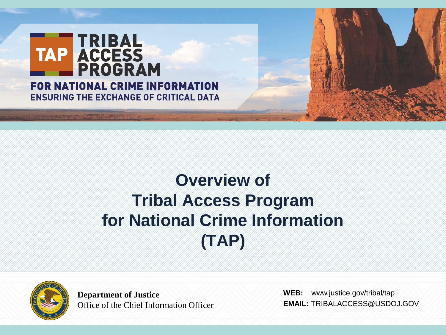

## **Overview of Tribal Access Program for National Crime Information (TAP)**



**Department of Justice** Office of the Chief Information Officer

**WEB:** www.justice.gov/tribal/ta[p](http://www.justice.gov/TRIBAL/TAPTRIBALACCESS@USDOJ.GOV) **EMAIL:** TRIBALACCESS@USDOJ.GOV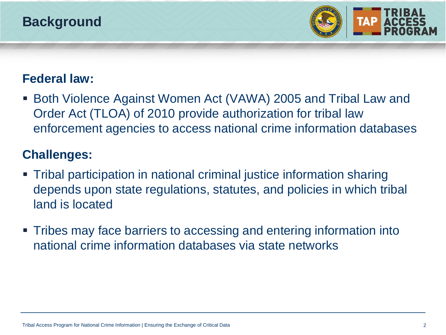## **Background**



#### **Federal law:**

 Both Violence Against Women Act (VAWA) 2005 and Tribal Law and Order Act (TLOA) of 2010 provide authorization for tribal law enforcement agencies to access national crime information databases

#### **Challenges:**

- Tribal participation in national criminal justice information sharing depends upon state regulations, statutes, and policies in which tribal land is located
- Tribes may face barriers to accessing and entering information into national crime information databases via state networks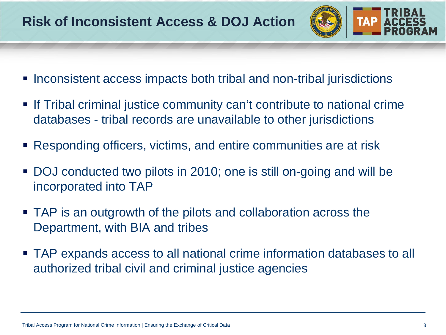

- Inconsistent access impacts both tribal and non-tribal jurisdictions
- If Tribal criminal justice community can't contribute to national crime databases - tribal records are unavailable to other jurisdictions
- Responding officers, victims, and entire communities are at risk
- DOJ conducted two pilots in 2010; one is still on-going and will be incorporated into TAP
- TAP is an outgrowth of the pilots and collaboration across the Department, with BIA and tribes
- TAP expands access to all national crime information databases to all authorized tribal civil and criminal justice agencies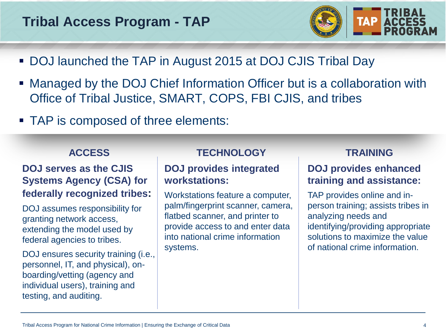#### **Tribal Access Program - TAP**



- DOJ launched the TAP in August 2015 at DOJ CJIS Tribal Day
- Managed by the DOJ Chief Information Officer but is a collaboration with Office of Tribal Justice, SMART, COPS, FBI CJIS, and tribes
- TAP is composed of three elements:

#### **ACCESS**

#### **DOJ serves as the CJIS Systems Agency (CSA) for federally recognized tribes:**

DOJ assumes responsibility for granting network access, extending the model used by federal agencies to tribes.

DOJ ensures security training (*i.e.*, personnel, IT, and physical), onboarding/vetting (agency and individual users), training and testing, and auditing.

#### **TECHNOLOGY**

#### **DOJ provides integrated workstations:**

Workstations feature a computer, palm/fingerprint scanner, camera, flatbed scanner, and printer to provide access to and enter data into national crime information systems.

#### **TRAINING**

#### **DOJ provides enhanced training and assistance:**

TAP provides online and inperson training; assists tribes in analyzing needs and identifying/providing appropriate solutions to maximize the value of national crime information.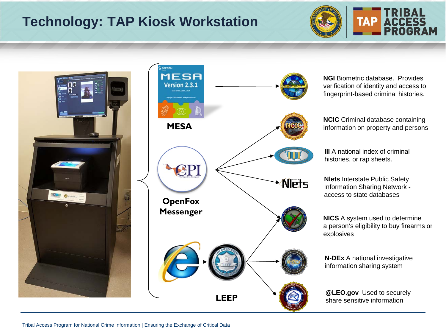## **Technology: TAP Kiosk Workstation**





![](_page_4_Figure_3.jpeg)

**NGI Biometric database. Provides** verification of identity and access to fingerprint-based criminal histories.

**NCIC** Criminal database containing information on property and persons

**III** A national index of criminal histories, or rap sheets.

**Nlets** Interstate Public Safety Information Sharing Network access to state databases

**NICS** A system used to determine a person's eligibility to buy firearms or explosives

**N-DEx** A national investigative information sharing system

**@LEO.gov** Used to securely share sensitive information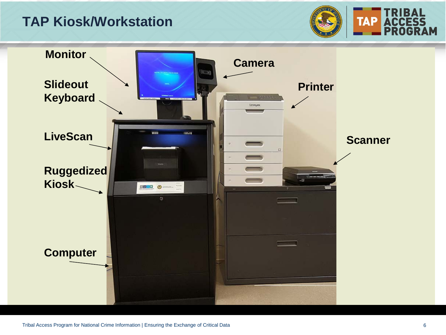#### **TAP Kiosk/Workstation**

![](_page_5_Picture_1.jpeg)

![](_page_5_Picture_2.jpeg)

RAM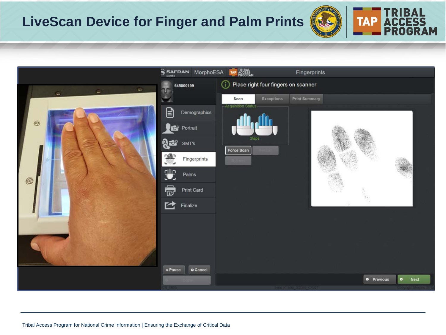## **LiveScan Device for Finger and Palm Prints**

![](_page_6_Picture_1.jpeg)

![](_page_6_Picture_2.jpeg)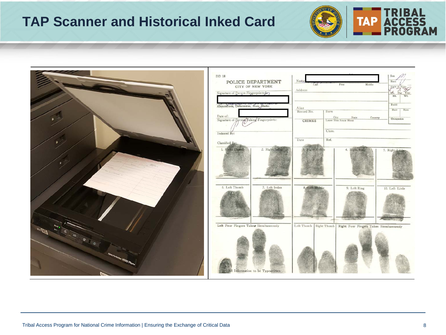## **TAP Scanner and Historical Inked Card**

![](_page_7_Picture_1.jpeg)

TAP TRIBAL<br>TAP ACCESS<br>**PROGRAM**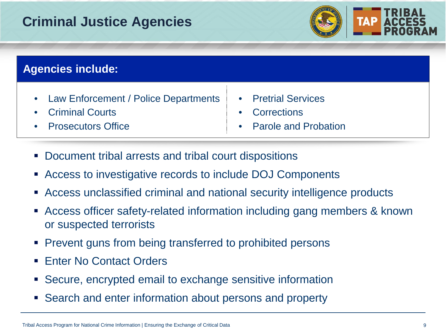## **Criminal Justice Agencies**

![](_page_8_Picture_1.jpeg)

![](_page_8_Picture_2.jpeg)

#### **Agencies include:**

- Law Enforcement / Police Departments | Pretrial Services
- **Criminal Courts Corrections**
- 
- 
- 
- **Prosecutors Office Parole and Probation**
- Document tribal arrests and tribal court dispositions
- Access to investigative records to include DOJ Components
- Access unclassified criminal and national security intelligence products
- Access officer safety-related information including gang members & known or suspected terrorists
- **Prevent guns from being transferred to prohibited persons**
- **Fater No Contact Orders**
- Secure, encrypted email to exchange sensitive information
- Search and enter information about persons and property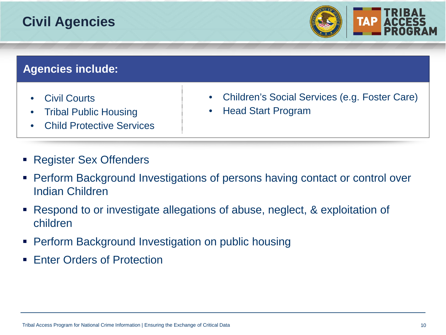## **Civil Agencies**

![](_page_9_Picture_1.jpeg)

#### **Agencies include:**

- Civil Courts
- Tribal Public Housing
- **Child Protective Services**
- Register Sex Offenders
- Children's Social Services (e.g. Foster Care)
	- Head Start Program

- Perform Background Investigations of persons having contact or control over Indian Children
- Respond to or investigate allegations of abuse, neglect, & exploitation of children
- Perform Background Investigation on public housing
- **Enter Orders of Protection**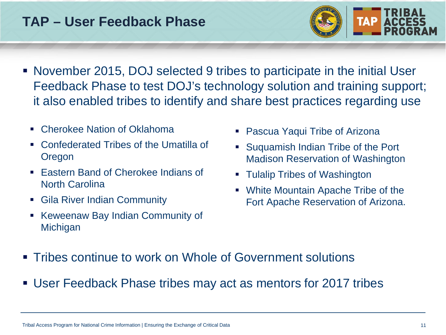## **TAP – User Feedback Phase**

![](_page_10_Picture_1.jpeg)

- November 2015, DOJ selected 9 tribes to participate in the initial User Feedback Phase to test DOJ's technology solution and training support; it also enabled tribes to identify and share best practices regarding use
	- Cherokee Nation of Oklahoma
	- Confederated Tribes of the Umatilla of Oregon
	- Eastern Band of Cherokee Indians of North Carolina
	- **Gila River Indian Community**
	- **Keweenaw Bay Indian Community of Michigan**
- Pascua Yaqui Tribe of Arizona
- Suquamish Indian Tribe of the Port Madison Reservation of Washington
- **Tulalip Tribes of Washington**
- White Mountain Apache Tribe of the Fort Apache Reservation of Arizona.

- Tribes continue to work on Whole of Government solutions
- User Feedback Phase tribes may act as mentors for 2017 tribes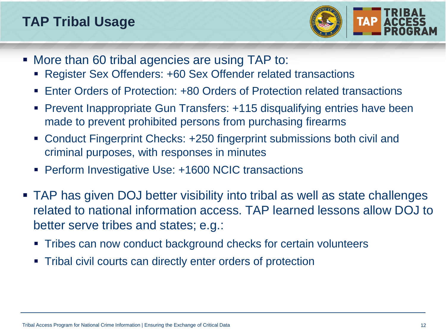## **TAP Tribal Usage**

![](_page_11_Picture_1.jpeg)

- More than 60 tribal agencies are using TAP to:
	- Register Sex Offenders: +60 Sex Offender related transactions
	- Enter Orders of Protection: +80 Orders of Protection related transactions
	- Prevent Inappropriate Gun Transfers: +115 disqualifying entries have been made to prevent prohibited persons from purchasing firearms
	- Conduct Fingerprint Checks: +250 fingerprint submissions both civil and criminal purposes, with responses in minutes
	- **Perform Investigative Use: +1600 NCIC transactions**
- TAP has given DOJ better visibility into tribal as well as state challenges related to national information access. TAP learned lessons allow DOJ to better serve tribes and states; e.g.:
	- Tribes can now conduct background checks for certain volunteers
	- Tribal civil courts can directly enter orders of protection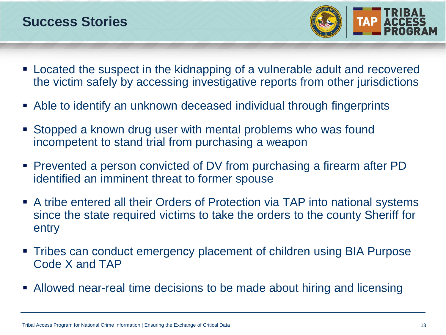#### **Success Stories**

![](_page_12_Picture_1.jpeg)

- Located the suspect in the kidnapping of a vulnerable adult and recovered the victim safely by accessing investigative reports from other jurisdictions
- Able to identify an unknown deceased individual through fingerprints
- Stopped a known drug user with mental problems who was found incompetent to stand trial from purchasing a weapon
- Prevented a person convicted of DV from purchasing a firearm after PD identified an imminent threat to former spouse
- A tribe entered all their Orders of Protection via TAP into national systems since the state required victims to take the orders to the county Sheriff for entry
- Tribes can conduct emergency placement of children using BIA Purpose Code X and TAP
- Allowed near-real time decisions to be made about hiring and licensing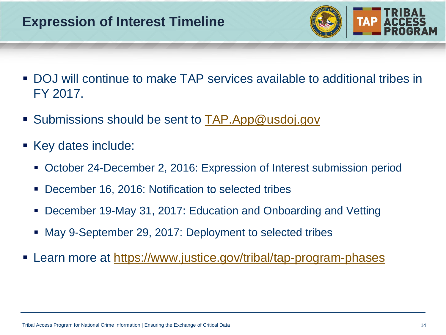## **Expression of Interest Timeline**

![](_page_13_Picture_1.jpeg)

- DOJ will continue to make TAP services available to additional tribes in FY 2017.
- Submissions should be sent to **TAP.App@usdoj.gov**
- Key dates include:
	- October 24-December 2, 2016: Expression of Interest submission period
	- December 16, 2016: Notification to selected tribes
	- December 19-May 31, 2017: Education and Onboarding and Vetting
	- May 9-September 29, 2017: Deployment to selected tribes
- Learn more at https://www.justice.gov/tribal/tap-program-phases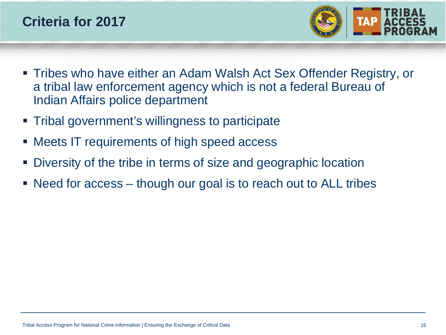![](_page_14_Picture_0.jpeg)

![](_page_14_Picture_1.jpeg)

- Tribes who have either an Adam Walsh Act Sex Offender Registry, or a tribal law enforcement agency which is not a federal Bureau of Indian Affairs police department
- Tribal government's willingness to participate
- Meets IT requirements of high speed access
- Diversity of the tribe in terms of size and geographic location
- Need for access though our goal is to reach out to ALL tribes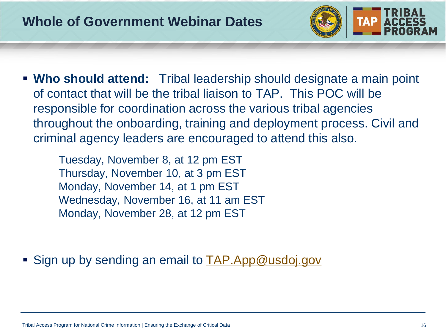![](_page_15_Picture_1.jpeg)

 **Who should attend:** Tribal leadership should designate a main point of contact that will be the tribal liaison to TAP. This POC will be responsible for coordination across the various tribal agencies throughout the onboarding, training and deployment process. Civil and criminal agency leaders are encouraged to attend this also.

Tuesday, November 8, at 12 pm EST Thursday, November 10, at 3 pm EST Monday, November 14, at 1 pm EST Wednesday, November 16, at 11 am EST Monday, November 28, at 12 pm EST

Sign up by sending an email to [TAP.App@usdoj.gov](mailto:TAP.App@usdoj.gov)